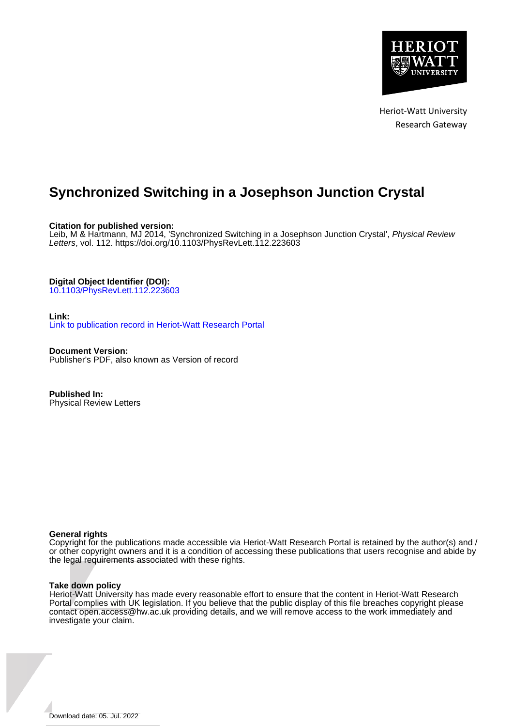

Heriot-Watt University Research Gateway

# **Synchronized Switching in a Josephson Junction Crystal**

**Citation for published version:**

Leib, M & Hartmann, MJ 2014, 'Synchronized Switching in a Josephson Junction Crystal', Physical Review Letters, vol. 112. <https://doi.org/10.1103/PhysRevLett.112.223603>

**Digital Object Identifier (DOI):**

[10.1103/PhysRevLett.112.223603](https://doi.org/10.1103/PhysRevLett.112.223603)

### **Link:**

[Link to publication record in Heriot-Watt Research Portal](https://researchportal.hw.ac.uk/en/publications/497c6bf1-cd88-4015-a9eb-109e25d2a6f1)

**Document Version:** Publisher's PDF, also known as Version of record

**Published In:** Physical Review Letters

#### **General rights**

Copyright for the publications made accessible via Heriot-Watt Research Portal is retained by the author(s) and / or other copyright owners and it is a condition of accessing these publications that users recognise and abide by the legal requirements associated with these rights.

#### **Take down policy**

Heriot-Watt University has made every reasonable effort to ensure that the content in Heriot-Watt Research Portal complies with UK legislation. If you believe that the public display of this file breaches copyright please contact open.access@hw.ac.uk providing details, and we will remove access to the work immediately and investigate your claim.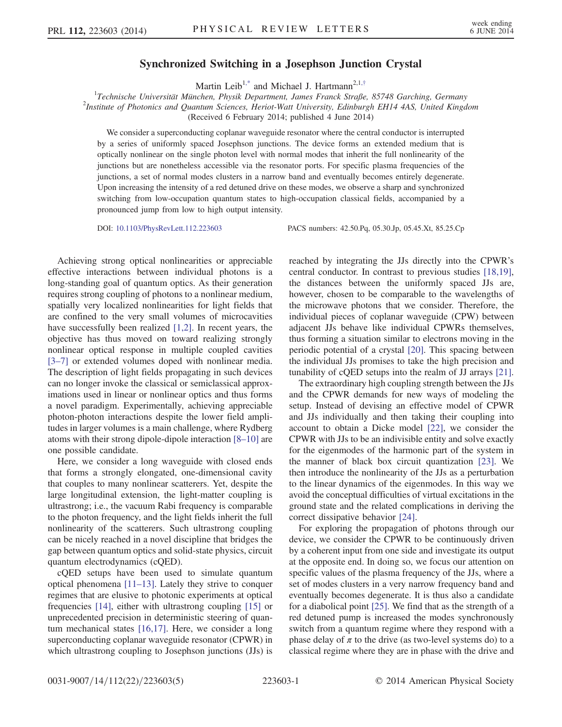## Synchronized Switching in a Josephson Junction Crystal

Martin Leib<sup>1[,\\*](#page-5-0)</sup> and Michael J. Hartmann<sup>2,1,[†](#page-5-1)</sup>

<span id="page-1-0"></span><sup>1</sup> Technische Universität München, Physik Department, James Franck Straße, 85748 Garching, Germany<br><sup>2</sup> Institute of Photonics and Quantum Sciences, Hariot Watt University, Edinburgh EH14,448, United Kinod  $2$ Institute of Photonics and Quantum Sciences, Heriot-Watt University, Edinburgh EH14 4AS, United Kingdom (Received 6 February 2014; published 4 June 2014)

We consider a superconducting coplanar waveguide resonator where the central conductor is interrupted by a series of uniformly spaced Josephson junctions. The device forms an extended medium that is optically nonlinear on the single photon level with normal modes that inherit the full nonlinearity of the junctions but are nonetheless accessible via the resonator ports. For specific plasma frequencies of the junctions, a set of normal modes clusters in a narrow band and eventually becomes entirely degenerate. Upon increasing the intensity of a red detuned drive on these modes, we observe a sharp and synchronized switching from low-occupation quantum states to high-occupation classical fields, accompanied by a pronounced jump from low to high output intensity.

DOI: [10.1103/PhysRevLett.112.223603](http://dx.doi.org/10.1103/PhysRevLett.112.223603) PACS numbers: 42.50.Pq, 05.30.Jp, 05.45.Xt, 85.25.Cp

Achieving strong optical nonlinearities or appreciable effective interactions between individual photons is a long-standing goal of quantum optics. As their generation requires strong coupling of photons to a nonlinear medium, spatially very localized nonlinearities for light fields that are confined to the very small volumes of microcavities have successfully been realized [\[1,2\].](#page-5-2) In recent years, the objective has thus moved on toward realizing strongly nonlinear optical response in multiple coupled cavities [\[3](#page-5-3)–7] or extended volumes doped with nonlinear media. The description of light fields propagating in such devices can no longer invoke the classical or semiclassical approximations used in linear or nonlinear optics and thus forms a novel paradigm. Experimentally, achieving appreciable photon-photon interactions despite the lower field amplitudes in larger volumes is a main challenge, where Rydberg atoms with their strong dipole-dipole interaction [8–[10\]](#page-5-4) are one possible candidate.

Here, we consider a long waveguide with closed ends that forms a strongly elongated, one-dimensional cavity that couples to many nonlinear scatterers. Yet, despite the large longitudinal extension, the light-matter coupling is ultrastrong; i.e., the vacuum Rabi frequency is comparable to the photon frequency, and the light fields inherit the full nonlinearity of the scatterers. Such ultrastrong coupling can be nicely reached in a novel discipline that bridges the gap between quantum optics and solid-state physics, circuit quantum electrodynamics (cQED).

cQED setups have been used to simulate quantum optical phenomena [\[11](#page-5-5)–13]. Lately they strive to conquer regimes that are elusive to photonic experiments at optical frequencies [\[14\]](#page-5-6), either with ultrastrong coupling [\[15\]](#page-5-7) or unprecedented precision in deterministic steering of quantum mechanical states [\[16,17\].](#page-5-8) Here, we consider a long superconducting coplanar waveguide resonator (CPWR) in which ultrastrong coupling to Josephson junctions (JJs) is reached by integrating the JJs directly into the CPWR's central conductor. In contrast to previous studies [\[18,19\]](#page-5-9), the distances between the uniformly spaced JJs are, however, chosen to be comparable to the wavelengths of the microwave photons that we consider. Therefore, the individual pieces of coplanar waveguide (CPW) between adjacent JJs behave like individual CPWRs themselves, thus forming a situation similar to electrons moving in the periodic potential of a crystal [\[20\].](#page-5-10) This spacing between the individual JJs promises to take the high precision and tunability of cQED setups into the realm of JJ arrays [\[21\]](#page-5-11).

The extraordinary high coupling strength between the JJs and the CPWR demands for new ways of modeling the setup. Instead of devising an effective model of CPWR and JJs individually and then taking their coupling into account to obtain a Dicke model [\[22\],](#page-5-12) we consider the CPWR with JJs to be an indivisible entity and solve exactly for the eigenmodes of the harmonic part of the system in the manner of black box circuit quantization [\[23\]](#page-5-13). We then introduce the nonlinearity of the JJs as a perturbation to the linear dynamics of the eigenmodes. In this way we avoid the conceptual difficulties of virtual excitations in the ground state and the related complications in deriving the correct dissipative behavior [\[24\]](#page-5-14).

For exploring the propagation of photons through our device, we consider the CPWR to be continuously driven by a coherent input from one side and investigate its output at the opposite end. In doing so, we focus our attention on specific values of the plasma frequency of the JJs, where a set of modes clusters in a very narrow frequency band and eventually becomes degenerate. It is thus also a candidate for a diabolical point [\[25\].](#page-5-15) We find that as the strength of a red detuned pump is increased the modes synchronously switch from a quantum regime where they respond with a phase delay of  $\pi$  to the drive (as two-level systems do) to a classical regime where they are in phase with the drive and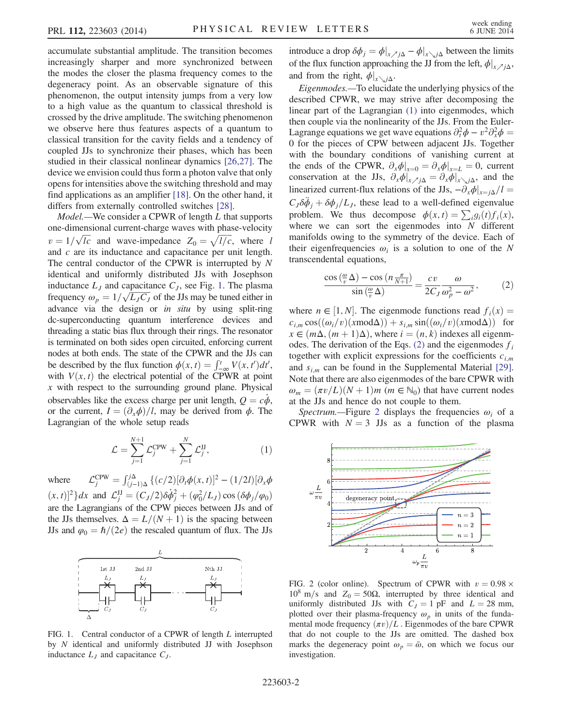accumulate substantial amplitude. The transition becomes increasingly sharper and more synchronized between the modes the closer the plasma frequency comes to the degeneracy point. As an observable signature of this phenomenon, the output intensity jumps from a very low to a high value as the quantum to classical threshold is crossed by the drive amplitude. The switching phenomenon we observe here thus features aspects of a quantum to classical transition for the cavity fields and a tendency of coupled JJs to synchronize their phases, which has been studied in their classical nonlinear dynamics [\[26,27\].](#page-5-16) The device we envision could thus form a photon valve that only opens for intensities above the switching threshold and may find applications as an amplifier [\[18\].](#page-5-9) On the other hand, it differs from externally controlled switches [\[28\]](#page-5-17).

Model.—We consider a CPWR of length L that supports one-dimensional current-charge waves with phase-velocity  $v = 1/\sqrt{lc}$  and wave-impedance  $Z_0 = \sqrt{l/c}$ , where land c are its inductance and canacitance per unit length and c are its inductance and capacitance per unit length. The central conductor of the CPWR is interrupted by N identical and uniformly distributed JJs with Josephson inductance  $L_j$  and capacitance  $C_j$ , see Fig. [1.](#page-2-0) The plasma frequency  $\omega_p = 1/\sqrt{L_J C_J}$  of the JJs may be tuned either in<br>advance, via the design or in situ by using split-ring advance via the design or in situ by using split-ring dc-superconducting quantum interference devices and threading a static bias flux through their rings. The resonator is terminated on both sides open circuited, enforcing current nodes at both ends. The state of the CPWR and the JJs can be described by the flux function  $\phi(x, t) = \int_{-\infty}^{t} V(x, t') dt'$ ,<br>with  $V(x, t)$  the electrical potential of the CPWR at point with  $V(x, t)$  the electrical potential of the CPWR at point  $x$  with respect to the surrounding ground plane. Physical observables like the excess charge per unit length,  $Q = c\phi$ , or the current,  $I = (\partial_x \phi)/l$ , may be derived from  $\phi$ . The Lagrangian of the whole setup reads

$$
\mathcal{L} = \sum_{j=1}^{N+1} \mathcal{L}_j^{\text{CPW}} + \sum_{j=1}^{N} \mathcal{L}_j^{\text{JJ}},\tag{1}
$$

<span id="page-2-1"></span>where  $\mathcal{L}_j^{\text{CPW}} = \int_{(j-1)\Delta}^{j\Delta} \{ (c/2) [\partial_t \phi(x, t)]^2 - (1/2l) [\partial_x \phi(x, t)]^2 \}$  $(x, t)^2$   $\{dx \text{ and } \mathcal{L}_j^{\text{IJ}} = (C_J/2) \delta \dot{\phi}_j^2 + (\varphi_0^2/L_J) \cos (\delta \phi_j / \varphi_0)$ are the Lagrangians of the CPW pieces between JJs and of the JJs themselves.  $\Delta = L/(N + 1)$  is the spacing between JJs and  $\varphi_0 = \hbar/(2e)$  the rescaled quantum of flux. The JJs

<span id="page-2-0"></span>

FIG. 1. Central conductor of a CPWR of length L interrupted by N identical and uniformly distributed JJ with Josephson inductance  $L_j$  and capacitance  $C_j$ .

introduce a drop  $\delta \phi_j = \phi|_{x \nearrow j\Delta} - \phi|_{x \searrow j\Delta}$  between the limits of the flux function approaching the JJ from the left,  $\phi|_{x\rightarrow i\Delta}$ , and from the right,  $\phi|_{x \searrow j\Delta}$ .

Eigenmodes.—To elucidate the underlying physics of the described CPWR, we may strive after decomposing the linear part of the Lagrangian [\(1\)](#page-2-1) into eigenmodes, which then couple via the nonlinearity of the JJs. From the Euler-Lagrange equations we get wave equations  $\partial_t^2 \phi - v^2 \partial_x^2 \phi = 0$  for the pieces of CPW between adjacent Hs. Together 0 for the pieces of CPW between adjacent JJs. Together with the boundary conditions of vanishing current at the ends of the CPWR,  $\partial_x \phi |_{x=0} = \partial_x \phi |_{x=L} = 0$ , current conservation at the JJs,  $\partial_x \phi|_{x \nearrow j\Delta} = \partial_x \phi|_{x \searrow j\Delta}$ , and the linearized current-flux relations of the JJs,  $-\partial_x \phi|_{x=i\Delta}/l =$  $C_J \delta \ddot{\phi}_j + \delta \phi_j/L_J$ , these lead to a well-defined eigenvalue problem. We thus decompose  $\phi(x, t) = \sum_i g_i(t) f_i(x)$ , where we can sort the eigenmodes into  $N$  different manifolds owing to the symmetry of the device. Each of their eigenfrequencies  $\omega_i$  is a solution to one of the N transcendental equations,

<span id="page-2-2"></span>
$$
\frac{\cos\left(\frac{\omega}{v}\Delta\right) - \cos\left(n\frac{\pi}{N+1}\right)}{\sin\left(\frac{\omega}{v}\Delta\right)} = \frac{cv}{2C_J}\frac{\omega}{\omega_p^2 - \omega^2},\tag{2}
$$

where  $n \in [1, N]$ . The eigenmode functions read  $f_i(x) =$  $c_{i,m} \cos((\omega_i/v)(x \mod \Delta)) + s_{i,m} \sin((\omega_i/v)(x \mod \Delta))$  for  $x \in (m\Delta, (m+1)\Delta)$ , where  $i = (n, k)$  indexes all eigenm-odes. The derivation of the Eqs. [\(2\)](#page-2-2) and the eigenmodes  $f_i$ together with explicit expressions for the coefficients  $c_{i,m}$ and  $s_{i,m}$  can be found in the Supplemental Material [\[29\]](#page-5-18). Note that there are also eigenmodes of the bare CPWR with  $\omega_m = (\pi v/L)(N + 1)m$  ( $m \in \mathbb{N}_0$ ) that have current nodes at the JJs and hence do not couple to them.

Spectrum.—Figure [2](#page-2-3) displays the frequencies  $\omega_i$  of a CPWR with  $N = 3$  JJs as a function of the plasma

<span id="page-2-3"></span>

FIG. 2 (color online). Spectrum of CPWR with  $v = 0.98 \times$  $10<sup>8</sup>$  m/s and Z<sub>0</sub> = 50Ω, interrupted by three identical and uniformly distributed JJs with  $C_J = 1$  pF and  $L = 28$  mm, plotted over their plasma-frequency  $\omega_p$  in units of the fundamental mode frequency  $(\pi v)/L$ . Eigenmodes of the bare CPWR that do not couple to the JJs are omitted. The dashed box marks the degeneracy point  $\omega_p = \bar{\omega}$ , on which we focus our investigation.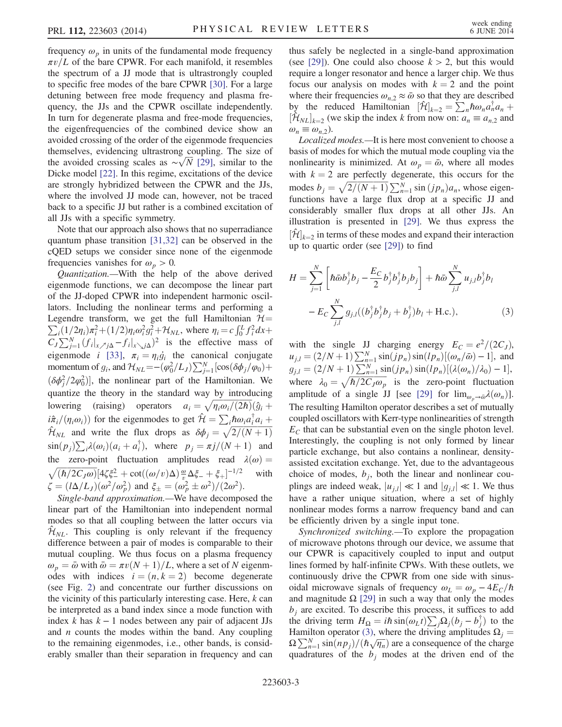frequency  $\omega_p$  in units of the fundamental mode frequency  $\pi v/L$  of the bare CPWR. For each manifold, it resembles the spectrum of a JJ mode that is ultrastrongly coupled to specific free modes of the bare CPWR [\[30\].](#page-5-19) For a large detuning between free mode frequency and plasma frequency, the JJs and the CPWR oscillate independently. In turn for degenerate plasma and free-mode frequencies, the eigenfrequencies of the combined device show an avoided crossing of the order of the eigenmode frequencies themselves, evidencing ultrastrong coupling. The size of the avoided crossing scales as  $\sim \sqrt{N}$  [\[29\]](#page-5-18), similar to the Dicke model [\[22\].](#page-5-12) In this regime, excitations of the device are strongly hybridized between the CPWR and the JJs, where the involved JJ mode can, however, not be traced back to a specific JJ but rather is a combined excitation of all JJs with a specific symmetry.

Note that our approach also shows that no superradiance quantum phase transition [\[31,32\]](#page-5-20) can be observed in the cQED setups we consider since none of the eigenmode frequencies vanishes for  $\omega_p > 0$ .

Quantization.—With the help of the above derived eigenmode functions, we can decompose the linear part of the JJ-doped CPWR into independent harmonic oscillators. Including the nonlinear terms and performing a  $\sum_i (1/2\eta_i)\pi_i^2 + (1/2)\eta_i\omega_i^2 g_i^2 + \mathcal{H}_{NL}$ , where  $\eta_i = c \int_0^L f_i^2 dx +$ <br>C  $\sum_{i=1}^{N} (f_i - f_i)^2$  is the effective mass of Legendre transform, we get the full Hamiltonian  $H=$  $C_J \sum_{j=1}^{N} (f_i|_{x_j} / \Delta - f_i|_{x_j} / \Delta)^2$  is the effective mass of eigenmode *i* [\[33\],](#page-5-21)  $\pi_i = \eta_i \dot{g_i}$  the canonical conjugate momentum of  $g_i$ , and  $\mathcal{H}_{NL} = -(\varphi_0^2/L_J) \sum_{j=1}^{N} [\cos(\delta \varphi_j/\varphi_0) +$ <br>(S42/2  $\omega^{2}$ ) the gentineer next of the Hemiltonian. We  $(\delta \phi_j^2 / 2\varphi_0^2)$ , the nonlinear part of the Hamiltonian. We avantize the theory in the standard way by introducing quantize the theory in the standard way by introducing lowering (raising) operators  $a_i = \sqrt{\eta_i \omega_i/(2\hbar)}(\hat{g}_i + \hat{g}_i)/(g_i + \hat{g}_i)/(g_i + \hat{g}_i)/(\hat{g}_i)$  $i\hat{\pi}_i/(\eta_i\omega_i)$  for the eigenmodes to get  $\hat{\mathcal{H}} = \sum_i \hbar \omega_i a_i^{\dagger} a_i + \hat{\mathcal{H}}$  $\hat{\mathcal{H}}_{NL}$  and write the flux drops as  $\delta\phi_j = \sqrt{2/(N+1)}$  $\sin(p_j) \sum_i \lambda(\omega_i) (a_i + a_i^{\dagger})$ , where  $p_j = \pi j/(N+1)$  and the zero-point fluctuation amplitudes read  $\lambda(\omega) = \sqrt{(\hbar/2C_I\omega)}[4\zeta\xi^2 + \cot((\omega/v)\Delta)\frac{\omega}{\omega}\Delta\xi + \xi + ]^{-1/2}$  with  $\sqrt{(\hbar/2C_J\omega)}[4\zeta\xi^2 + \cot((\omega/v)\Delta)\frac{\omega}{v}\Delta\xi + \xi_+]^{-1/2}$  with  $\zeta = (l\Delta/L_J)(\omega^2/\omega_p^2)$  and  $\xi_{\pm} = (\omega_p^2 \pm \omega^2)/(2\omega^2)$ .<br>Single hand approximation. We have decompose

Single-band approximation.—We have decomposed the linear part of the Hamiltonian into independent normal modes so that all coupling between the latter occurs via  $\hat{\mathcal{H}}_{NL}$ . This coupling is only relevant if the frequency difference between a pair of modes is comparable to their mutual coupling. We thus focus on a plasma frequency  $\omega_p = \bar{\omega}$  with  $\bar{\omega} = \pi v(N + 1)/L$ , where a set of N eigenmodes with indices  $i = (n, k = 2)$  become degenerate (see Fig. [2\)](#page-2-3) and concentrate our further discussions on the vicinity of this particularly interesting case. Here, k can be interpreted as a band index since a mode function with index k has  $k - 1$  nodes between any pair of adjacent JJs and  $n$  counts the modes within the band. Any coupling to the remaining eigenmodes, i.e., other bands, is considerably smaller than their separation in frequency and can thus safely be neglected in a single-band approximation (see [\[29\]](#page-5-18)). One could also choose  $k > 2$ , but this would require a longer resonator and hence a larger chip. We thus focus our analysis on modes with  $k = 2$  and the point where their frequencies  $\omega_{n,2} \approx \bar{\omega}$  so that they are described by the reduced Hamiltonian  $[\hat{\mathcal{H}}]_{k=2} = \sum_{n}^{\infty} \hbar \omega_n a_n^{\dagger} a_n + [\hat{H}_{ML}]_{k=2}$  (we skin the index k from now on:  $a_i = a_i$  and  $[\mathcal{H}_{NL}]_{k=2}$  (we skip the index k from now on:  $a_n \equiv a_{n,2}$  and  $\omega_n \equiv \omega_{n,2}$ ).

Localized modes.—It is here most convenient to choose a basis of modes for which the mutual mode coupling via the nonlinearity is minimized. At  $\omega_p = \bar{\omega}$ , where all modes with  $k = 2$  are perfectly degenerate, this occurs for the modes  $b_j = \sqrt{2/(N+1)} \sum_{n=1}^{N} \sin(jp_n) a_n$ , whose eigen-<br>functions have a large flux drop at a specific II and functions have a large flux drop at a specific JJ and considerably smaller flux drops at all other JJs. An illustration is presented in [\[29\]](#page-5-18). We thus express the  $[\mathcal{H}]_{k=2}$  in terms of these modes and expand their interaction up to quartic order (see [\[29\]](#page-5-18)) to find

<span id="page-3-0"></span>
$$
H = \sum_{j=1}^{N} \left[ \hbar \bar{\omega} b_{j}^{\dagger} b_{j} - \frac{E_{C}}{2} b_{j}^{\dagger} b_{j}^{\dagger} b_{j} b_{j} \right] + \hbar \bar{\omega} \sum_{j,l}^{N} u_{j,l} b_{j}^{\dagger} b_{l}
$$

$$
- E_{C} \sum_{j,l}^{N} g_{j,l} ((b_{j}^{\dagger} b_{j}^{\dagger} b_{j} + b_{j}^{\dagger}) b_{l} + \text{H.c.}), \tag{3}
$$

with the single JJ charging energy  $E_C = e^2/(2C_J)$ ,  $u_{j,l} = (2/N + 1) \sum_{n=1}^{N} \sin(jp_n) \sin(lp_n) [(\omega_n/\bar{\omega}) - 1],$  and  $g_{j,l} = (2/N + 1) \sum_{n=1}^{N} \sin(j p_n) \sin(l p_n) [(\lambda(\omega_n)/\lambda_0) - 1],$ where  $\lambda_0 = \sqrt{\hbar/2C_J\omega_p}$  is the zero-point fluctuation<br>applitude of a single II [see [20] for  $\lim_{\epsilon \to 0} \lambda(\epsilon_0)$ ] amplitude of a single JJ [see [\[29\]](#page-5-18) for  $\lim_{\omega_p \to \bar{\omega}} \lambda(\omega_n)$ ]. The resulting Hamilton operator describes a set of mutually coupled oscillators with Kerr-type nonlinearities of strength  $E<sub>C</sub>$  that can be substantial even on the single photon level. Interestingly, the coupling is not only formed by linear particle exchange, but also contains a nonlinear, densityassisted excitation exchange. Yet, due to the advantageous choice of modes,  $b_j$ , both the linear and nonlinear couplings are indeed weak,  $|u_{i,l}| \ll 1$  and  $|g_{i,l}| \ll 1$ . We thus have a rather unique situation, where a set of highly nonlinear modes forms a narrow frequency band and can be efficiently driven by a single input tone.

Synchronized switching.—To explore the propagation of microwave photons through our device, we assume that our CPWR is capacitively coupled to input and output lines formed by half-infinite CPWs. With these outlets, we continuously drive the CPWR from one side with sinusoidal microwave signals of frequency  $\omega_L = \omega_p - 4E_C/\hbar$ and magnitude  $\Omega$  [\[29\]](#page-5-18) in such a way that only the modes  $b_i$  are excited. To describe this process, it suffices to add the driving term  $H_{\Omega} = i\hbar \sin(\omega_L t) \sum_j \Omega_j (b_j - b_j^{\dagger})$  to the Hamilton operator (3) where the driving amplitudes O. Hamilton operator [\(3\),](#page-3-0) where the driving amplitudes  $\Omega_i =$  $\Omega \sum_{n=1}^{N} \frac{\sin(np_j)}{(\hbar \sqrt{n_n})}$  are a consequence of the charge<br>quadratures of the *b* modes at the driven end of the quadratures of the  $b_j$  modes at the driven end of the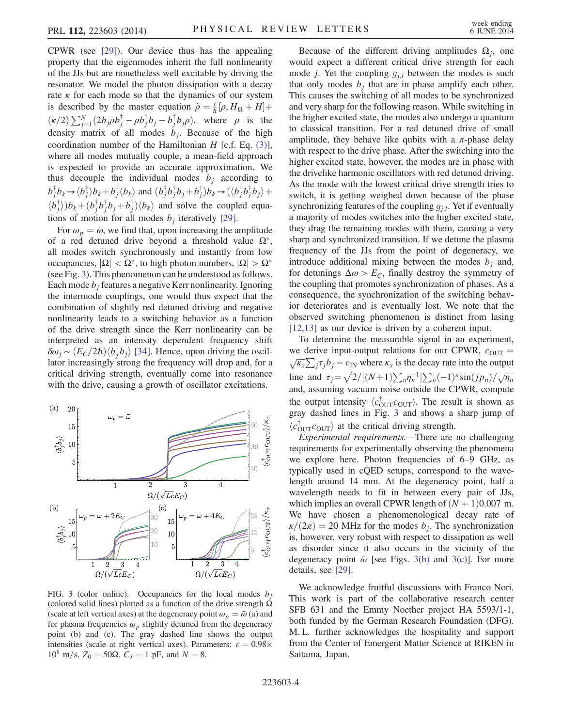CPWR (see [\[29\]\)](#page-5-18). Our device thus has the appealing property that the eigenmodes inherit the full nonlinearity of the JJs but are nonetheless well excitable by driving the resonator. We model the photon dissipation with a decay rate  $\kappa$  for each mode so that the dynamics of our system is described by the master equation  $\dot{\rho} = \frac{i}{\hbar} [\rho, H_{\Omega} + H] +$  $\left(\frac{\kappa}{2}\right)\sum_{j=1}^{N} (2b_j \rho b_j^{\dagger} - \rho b_j^{\dagger} b_j - b_j^{\dagger} b_j \rho),$  where  $\rho$  is the density matrix of all modes by Bosques of the high density matrix of all modes  $b_j$ . Because of the high coordination number of the Hamiltonian  $H$  [c.f. Eq. [\(3\)](#page-3-0)], where all modes mutually couple, a mean-field approach is expected to provide an accurate approximation. We thus decouple the individual modes  $b_i$  according to  $b_j^{\dagger}b_k \rightarrow \langle b_j^{\dagger} \rangle b_k + b_j^{\dagger} \langle b_k \rangle$  and  $(b_j^{\dagger}b_j^{\dagger}b_j + b_j^{\dagger})b_k \rightarrow (\langle b_j^{\dagger}b_j^{\dagger}b_j \rangle +$  $\langle b_j^{\dagger} \rangle$ ) $b_k + (b_j^{\dagger} b_j^{\dagger} b_j + b_j^{\dagger}) \langle b_k \rangle$  and solve the coupled equations of motion for all modes by iteratively [20] tions of motion for all modes  $b_i$  iteratively [\[29\]](#page-5-18).

For  $\omega_p = \bar{\omega}$ , we find that, upon increasing the amplitude of a red detuned drive beyond a threshold value  $\Omega^*$ , all modes switch synchronously and instantly from low occupancies,  $|\Omega|$  < Ω<sup>\*</sup>, to high photon numbers,  $|\Omega|$  >  $\Omega$ <sup>\*</sup> (see Fig. [3\)](#page-4-0). This phenomenon can be understood as follows. Each mode  $b_i$  features a negative Kerr nonlinearity. Ignoring the intermode couplings, one would thus expect that the combination of slightly red detuned driving and negative nonlinearity leads to a switching behavior as a function of the drive strength since the Kerr nonlinearity can be interpreted as an intensity dependent frequency shift  $\delta \omega_j \sim (E_C/2\hbar) \langle \psi_j^{\dagger} \psi_j \rangle$  [\[34\]](#page-5-22). Hence, upon driving the oscillator increasingly strong the frequency will drop and for a lator increasingly strong the frequency will drop and, for a critical driving strength, eventually come into resonance with the drive, causing a growth of oscillator excitations.

<span id="page-4-0"></span>

FIG. 3 (color online). Occupancies for the local modes  $b_i$ (colored solid lines) plotted as a function of the drive strength  $\Omega$ (scale at left vertical axes) at the degeneracy point  $\omega_p = \bar{\omega}$  (a) and for plasma frequencies  $\omega_p$  slightly detuned from the degeneracy point (b) and (c). The gray dashed line shows the output intensities (scale at right vertical axes). Parameters:  $v = 0.98 \times$  $10<sup>8</sup>$  m/s, Z<sub>0</sub> = 50Ω, C<sub>J</sub> = 1 pF, and N = 8.

Because of the different driving amplitudes  $\Omega_i$ , one would expect a different critical drive strength for each mode *j*. Yet the coupling  $g_{j,l}$  between the modes is such that only modes  $b_j$  that are in phase amplify each other. This causes the switching of all modes to be synchronized and very sharp for the following reason. While switching in the higher excited state, the modes also undergo a quantum to classical transition. For a red detuned drive of small amplitude, they behave like qubits with a  $\pi$ -phase delay with respect to the drive phase. After the switching into the higher excited state, however, the modes are in phase with the drivelike harmonic oscillators with red detuned driving. As the mode with the lowest critical drive strength tries to switch, it is getting weighed down because of the phase synchronizing features of the coupling  $g_{i,l}$ . Yet if eventually a majority of modes switches into the higher excited state, they drag the remaining modes with them, causing a very sharp and synchronized transition. If we detune the plasma frequency of the JJs from the point of degeneracy, we introduce additional mixing between the modes  $b_i$  and, for detunings  $\Delta \omega > E_C$ , finally destroy the symmetry of the coupling that promotes synchronization of phases. As a consequence, the synchronization of the switching behavior deteriorates and is eventually lost. We note that the observed switching phenomenon is distinct from lasing [\[12,13\]](#page-5-23) as our device is driven by a coherent input.

To determine the measurable signal in an experiment, we derive input-output relations for our CPWR,  $c_{\text{OUT}} = \sqrt{\kappa_x} \sum_j \tau_j b_j - c_{\text{IN}}$  where  $\kappa_x$  is the decay rate into the output line and  $\tau_j = \sqrt{\frac{2}{[(N+1)\sum_n n_n^{-1}]\sum_n (-1)^n \sin(jp_n)/\sqrt{n_n}}}$ and, assuming vacuum noise outside the CPWR, compute the output intensity  $\langle c_{\text{OUT}}^{\dagger} c_{\text{OUT}} \rangle$ . The result is shown as gray dashed lines in Fig. 3 and shows a sharp jump of gray dashed lines in Fig. [3](#page-4-0) and shows a sharp jump of  $\langle c_{\text{OUT}}^{\dagger} c_{\text{OUT}} \rangle$  at the critical driving strength.<br>Finerimental requirements —There are

Experimental requirements.—There are no challenging requirements for experimentally observing the phenomena we explore here. Photon frequencies of 6–9 GHz, as typically used in cQED setups, correspond to the wavelength around 14 mm. At the degeneracy point, half a wavelength needs to fit in between every pair of JJs, which implies an overall CPWR length of  $(N + 1)0.007$  m. We have chosen a phenomenological decay rate of  $\kappa/(2\pi) = 20$  MHz for the modes  $b_i$ . The synchronization is, however, very robust with respect to dissipation as well as disorder since it also occurs in the vicinity of the degeneracy point  $\bar{\omega}$  [see Figs. [3\(b\)](#page-4-0) and [3\(c\)](#page-4-0)]. For more details, see [\[29\]](#page-5-18).

We acknowledge fruitful discussions with Franco Nori. This work is part of the collaborative research center SFB 631 and the Emmy Noether project HA 5593/1-1, both funded by the German Research Foundation (DFG). M. L. further acknowledges the hospitality and support from the Center of Emergent Matter Science at RIKEN in Saitama, Japan.